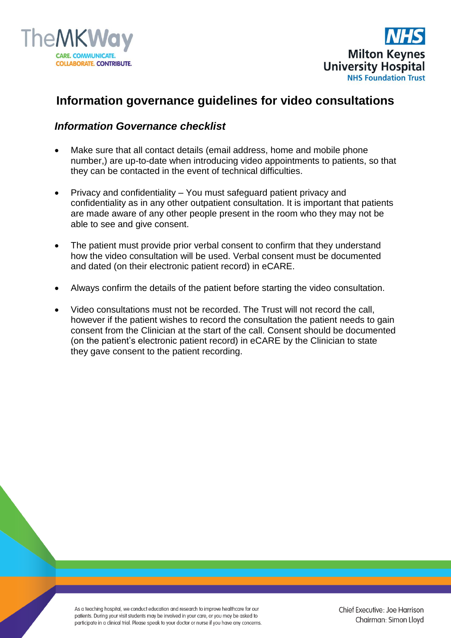



## **Information governance guidelines for video consultations**

## *Information Governance checklist*

- Make sure that all contact details (email address, home and mobile phone number,) are up-to-date when introducing video appointments to patients, so that they can be contacted in the event of technical difficulties.
- Privacy and confidentiality You must safeguard patient privacy and confidentiality as in any other outpatient consultation. It is important that patients are made aware of any other people present in the room who they may not be able to see and give consent.
- The patient must provide prior verbal consent to confirm that they understand how the video consultation will be used. Verbal consent must be documented and dated (on their electronic patient record) in eCARE.
- Always confirm the details of the patient before starting the video consultation.
- Video consultations must not be recorded. The Trust will not record the call, however if the patient wishes to record the consultation the patient needs to gain consent from the Clinician at the start of the call. Consent should be documented (on the patient's electronic patient record) in eCARE by the Clinician to state they gave consent to the patient recording.

As a teaching hospital, we conduct education and research to improve healthcare for our patients. During your visit students may be involved in your care, or you may be asked to participate in a clinical trial. Please speak to your doctor or nurse if you have any concerns.